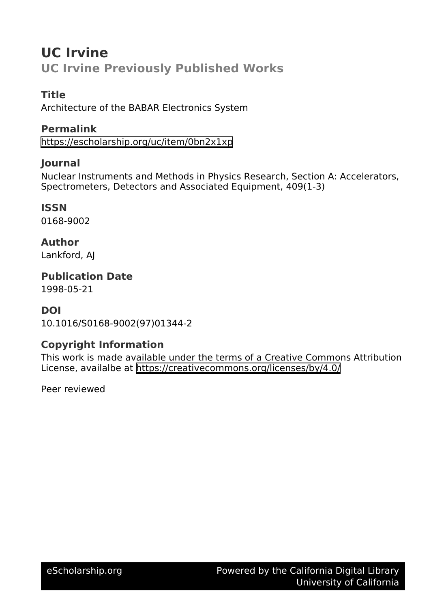# **UC Irvine UC Irvine Previously Published Works**

## **Title**

Architecture of the BABAR Electronics System

## **Permalink**

<https://escholarship.org/uc/item/0bn2x1xp>

## **Journal**

Nuclear Instruments and Methods in Physics Research, Section A: Accelerators, Spectrometers, Detectors and Associated Equipment, 409(1-3)

## **ISSN**

0168-9002

## **Author**

Lankford, AJ

**Publication Date** 1998-05-21

## **DOI**

10.1016/S0168-9002(97)01344-2

## **Copyright Information**

This work is made available under the terms of a Creative Commons Attribution License, availalbe at <https://creativecommons.org/licenses/by/4.0/>

Peer reviewed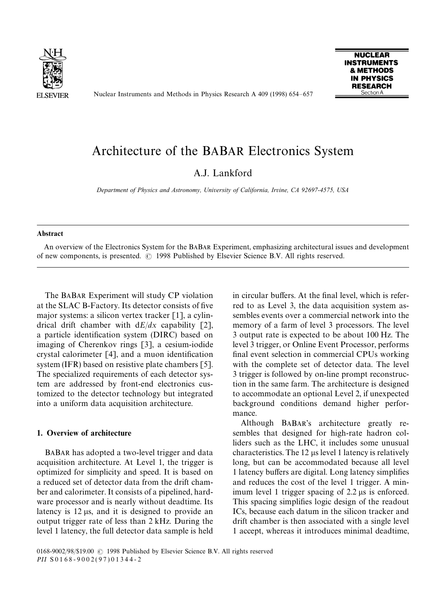

Nuclear Instruments and Methods in Physics Research A 409 (1998) 654*—*657



# Architecture of the BABAR Electronics System

### A.J. Lankford

*Department of Physics and Astronomy, University of California, Irvine, CA 92697-4575, USA*

#### **Abstract**

An overview of the Electronics System for the BABAR Experiment, emphasizing architectural issues and development of new components, is presented.  $\odot$  1998 Published by Elsevier Science B.V. All rights reserved.

The BABAR Experiment will study CP violation at the SLAC B-Factory. Its detector consists of five major systems: a silicon vertex tracker [1], a cylindrical drift chamber with d*E*/*dx* capability [2], a particle identification system (DIRC) based on imaging of Cherenkov rings [3], a cesium-iodide crystal calorimeter [4], and a muon identification system (IFR) based on resistive plate chambers [5]. The specialized requirements of each detector system are addressed by front-end electronics customized to the detector technology but integrated into a uniform data acquisition architecture.

### 1. Overview of architecture

BABAR has adopted a two-level trigger and data acquisition architecture. At Level 1, the trigger is optimized for simplicity and speed. It is based on a reduced set of detector data from the drift chamber and calorimeter. It consists of a pipelined, hardware processor and is nearly without deadtime. Its latency is  $12 \mu s$ , and it is designed to provide an output trigger rate of less than 2 kHz. During the level 1 latency, the full detector data sample is held in circular buffers. At the final level, which is referred to as Level 3, the data acquisition system assembles events over a commercial network into the memory of a farm of level 3 processors. The level 3 output rate is expected to be about 100 Hz. The level 3 trigger, or Online Event Processor, performs final event selection in commercial CPUs working with the complete set of detector data. The level 3 trigger is followed by on-line prompt reconstruction in the same farm. The architecture is designed to accommodate an optional Level 2, if unexpected background conditions demand higher performance.

Although BABAR's architecture greatly resembles that designed for high-rate hadron colliders such as the LHC, it includes some unusual characteristics. The  $12 \mu s$  level 1 latency is relatively long, but can be accommodated because all level 1 latency buffers are digital. Long latency simplifies and reduces the cost of the level 1 trigger. A minimum level 1 trigger spacing of  $2.2 \mu s$  is enforced. This spacing simplifies logic design of the readout ICs, because each datum in the silicon tracker and drift chamber is then associated with a single level 1 accept, whereas it introduces minimal deadtime,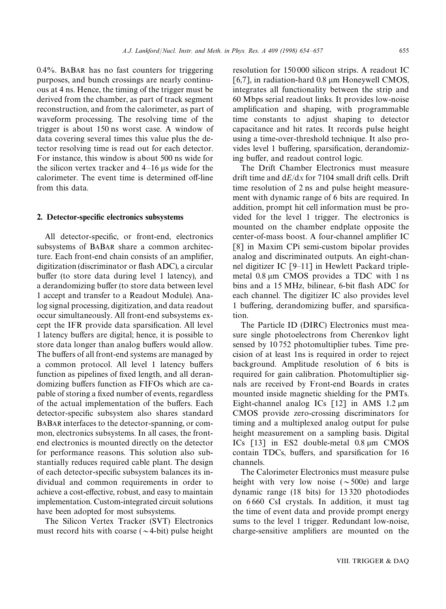0.4%. BABAR has no fast counters for triggering purposes, and bunch crossings are nearly continuous at 4 ns. Hence, the timing of the trigger must be derived from the chamber, as part of track segment reconstruction, and from the calorimeter, as part of waveform processing. The resolving time of the trigger is about 150 ns worst case. A window of data covering several times this value plus the detector resolving time is read out for each detector. For instance, this window is about 500 ns wide for the silicon vertex tracker and 4–16 us wide for the calorimeter. The event time is determined off-line from this data.

### 2. Detector-specific electronics subsystems

All detector-specific, or front-end, electronics subsystems of BABAR share a common architecture. Each front-end chain consists of an amplifier, digitization (discriminator or flash ADC), a circular buffer (to store data during level 1 latency), and a derandomizing buffer (to store data between level 1 accept and transfer to a Readout Module). Analog signal processing, digitization, and data readout occur simultaneously. All front-end subsystems except the IFR provide data sparsification. All level 1 latency buffers are digital; hence, it is possible to store data longer than analog buffers would allow. The buffers of all front-end systems are managed by a common protocol. All level 1 latency buffers function as pipelines of fixed length, and all derandomizing buffers function as FIFOs which are capable of storing a fixed number of events, regardless of the actual implementation of the buffers. Each detector-specific subsystem also shares standard BABAR interfaces to the detector-spanning, or common, electronics subsystems. In all cases, the frontend electronics is mounted directly on the detector for performance reasons. This solution also substantially reduces required cable plant. The design of each detector-specific subsystem balances its individual and common requirements in order to achieve a cost-effective, robust, and easy to maintain implementation. Custom-integrated circuit solutions have been adopted for most subsystems.

The Silicon Vertex Tracker (SVT) Electronics must record hits with coarse ( $\sim$ 4-bit) pulse height resolution for 150 000 silicon strips. A readout IC [6,7], in radiation-hard  $0.8 \mu m$  Honeywell CMOS, integrates all functionality between the strip and 60 Mbps serial readout links. It provides low-noise amplification and shaping, with programmable time constants to adjust shaping to detector capacitance and hit rates. It records pulse height using a time-over-threshold technique. It also provides level 1 buffering, sparsification, derandomizing buffer, and readout control logic.

The Drift Chamber Electronics must measure drift time and d*E*/d*x* for 7104 small drift cells. Drift time resolution of 2 ns and pulse height measurement with dynamic range of 6 bits are required. In addition, prompt hit cell information must be provided for the level 1 trigger. The electronics is mounted on the chamber endplate opposite the center-of-mass boost. A four-channel amplifier IC [8] in Maxim CPi semi-custom bipolar provides analog and discriminated outputs. An eight-channel digitizer IC [9*—*11] in Hewlett Packard triplemetal  $0.8 \mu m$  CMOS provides a TDC with 1 ns bins and a 15 MHz, bilinear, 6-bit flash ADC for each channel. The digitizer IC also provides level 1 buffering, derandomizing buffer, and sparsification.

The Particle ID (DIRC) Electronics must measure single photoelectrons from Cherenkov light sensed by 10 752 photomultiplier tubes. Time precision of at least 1ns is required in order to reject background. Amplitude resolution of 6 bits is required for gain calibration. Photomultiplier signals are received by Front-end Boards in crates mounted inside magnetic shielding for the PMTs. Eight-channel analog ICs  $\lceil 12 \rceil$  in AMS 1.2  $\mu$ m CMOS provide zero-crossing discriminators for timing and a multiplexed analog output for pulse height measurement on a sampling basis. Digital ICs  $\lceil 13 \rceil$  in ES2 double-metal 0.8  $\mu$ m CMOS contain TDCs, buffers, and sparsification for 16 channels.

The Calorimeter Electronics must measure pulse height with very low noise ( $\sim$ 500e) and large dynamic range (18 bits) for 13 320 photodiodes on 6 660 CsI crystals. In addition, it must tag the time of event data and provide prompt energy sums to the level 1 trigger. Redundant low-noise, charge-sensitive amplifiers are mounted on the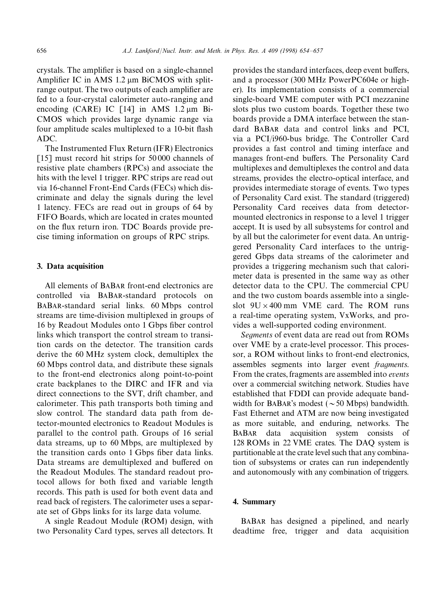crystals. The amplifier is based on a single-channel Amplifier IC in AMS 1.2 µm BiCMOS with splitrange output. The two outputs of each amplifier are fed to a four-crystal calorimeter auto-ranging and encoding (CARE) IC  $\lceil 14 \rceil$  in AMS 1.2  $\mu$ m Bi-CMOS which provides large dynamic range via four amplitude scales multiplexed to a 10-bit flash ADC.

The Instrumented Flux Return (IFR) Electronics [15] must record hit strips for 50000 channels of resistive plate chambers (RPCs) and associate the hits with the level 1 trigger. RPC strips are read out via 16-channel Front-End Cards (FECs) which discriminate and delay the signals during the level 1 latency. FECs are read out in groups of 64 by FIFO Boards, which are located in crates mounted on the flux return iron. TDC Boards provide precise timing information on groups of RPC strips.

### 3. Data acquisition

All elements of BABAR front-end electronics are controlled via BABAR-standard protocols on BABAR-standard serial links. 60 Mbps control streams are time-division multiplexed in groups of 16 by Readout Modules onto 1 Gbps fiber control links which transport the control stream to transition cards on the detector. The transition cards derive the 60 MHz system clock, demultiplex the 60 Mbps control data, and distribute these signals to the front-end electronics along point-to-point crate backplanes to the DIRC and IFR and via direct connections to the SVT, drift chamber, and calorimeter. This path transports both timing and slow control. The standard data path from detector-mounted electronics to Readout Modules is parallel to the control path. Groups of 16 serial data streams, up to 60 Mbps, are multiplexed by the transition cards onto 1 Gbps fiber data links. Data streams are demultiplexed and buffered on the Readout Modules. The standard readout protocol allows for both fixed and variable length records. This path is used for both event data and read back of registers. The calorimeter uses a separate set of Gbps links for its large data volume.

A single Readout Module (ROM) design, with two Personality Card types, serves all detectors. It provides the standard interfaces, deep event buffers, and a processor (300 MHz PowerPC604e or higher). Its implementation consists of a commercial single-board VME computer with PCI mezzanine slots plus two custom boards. Together these two boards provide a DMA interface between the standard BABAR data and control links and PCI, via a PCI/i960-bus bridge. The Controller Card provides a fast control and timing interface and manages front-end buffers. The Personality Card multiplexes and demultiplexes the control and data streams, provides the electro-optical interface, and provides intermediate storage of events. Two types of Personality Card exist. The standard (triggered) Personality Card receives data from detectormounted electronics in response to a level 1 trigger accept. It is used by all subsystems for control and by all but the calorimeter for event data. An untriggered Personality Card interfaces to the untriggered Gbps data streams of the calorimeter and provides a triggering mechanism such that calorimeter data is presented in the same way as other detector data to the CPU. The commercial CPU and the two custom boards assemble into a singleslot  $9U \times 400$  mm VME card. The ROM runs a real-time operating system, VxWorks, and provides a well-supported coding environment.

*Segments* of event data are read out from ROMs over VME by a crate-level processor. This processor, a ROM without links to front-end electronics, assembles segments into larger event *fragments*. From the crates, fragments are assembled into *events* over a commercial switching network. Studies have established that FDDI can provide adequate bandwidth for BABAR's modest ( $\sim$  50 Mbps) bandwidth. Fast Ethernet and ATM are now being investigated as more suitable, and enduring, networks. The BABAR data acquisition system consists of 128 ROMs in 22 VME crates. The DAQ system is partitionable at the crate level such that any combination of subsystems or crates can run independently and autonomously with any combination of triggers.

### 4. Summary

BABAR has designed a pipelined, and nearly deadtime free, trigger and data acquisition